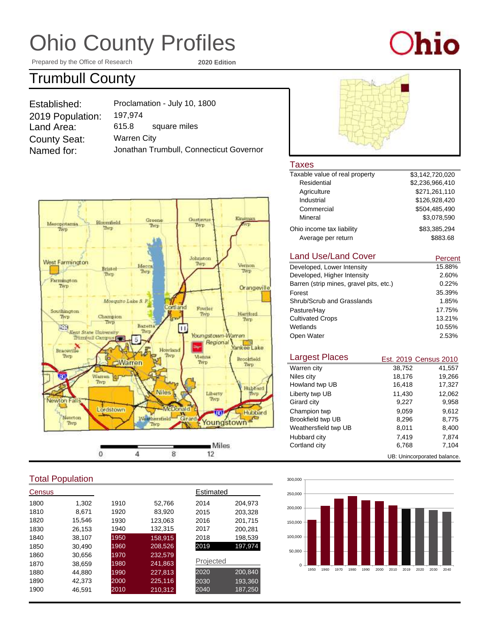Prepared by the Office of Research **2020 Edition**

# $O$ hio

### Trumbull County

| Established:     |                    | Proclamation - July 10, 1800            |
|------------------|--------------------|-----------------------------------------|
| 2019 Population: | 197.974            |                                         |
| Land Area:       | 615.8              | square miles                            |
| County Seat:     | <b>Warren City</b> |                                         |
| Named for:       |                    | Jonathan Trumbull, Connecticut Governor |
|                  |                    |                                         |



### Total Population

| Census |        |      |         | Estimated |         |
|--------|--------|------|---------|-----------|---------|
| 1800   | 1.302  | 1910 | 52,766  | 2014      | 204.973 |
| 1810   | 8.671  | 1920 | 83.920  | 2015      | 203,328 |
| 1820   | 15.546 | 1930 | 123,063 | 2016      | 201,715 |
| 1830   | 26,153 | 1940 | 132,315 | 2017      | 200,281 |
| 1840   | 38.107 | 1950 | 158,915 | 2018      | 198,539 |
| 1850   | 30.490 | 1960 | 208,526 | 2019      | 197,974 |
| 1860   | 30.656 | 1970 | 232,579 |           |         |
| 1870   | 38,659 | 1980 | 241,863 | Projected |         |
| 1880   | 44.880 | 1990 | 227,813 | 2020      | 200,840 |
| 1890   | 42,373 | 2000 | 225,116 | 2030      | 193,360 |
| 1900   | 46.591 | 2010 | 210,312 | 2040      | 187,250 |



### Taxes<br>Taxable

| Taxable value of real property | \$3,142,720,020 |
|--------------------------------|-----------------|
| Residential                    | \$2.236.966.410 |
| Agriculture                    | \$271,261,110   |
| Industrial                     | \$126.928.420   |
| Commercial                     | \$504.485.490   |
| Mineral                        | \$3,078,590     |
| Ohio income tax liability      | \$83,385,294    |
| Average per return             | \$883.68        |

#### Land Use/Land Cover

| Land Use/Land Cover                     | Percent |
|-----------------------------------------|---------|
| Developed, Lower Intensity              | 15.88%  |
| Developed, Higher Intensity             | 2.60%   |
| Barren (strip mines, gravel pits, etc.) | 0.22%   |
| Forest                                  | 35.39%  |
| Shrub/Scrub and Grasslands              | 1.85%   |
| Pasture/Hay                             | 17.75%  |
| <b>Cultivated Crops</b>                 | 13.21%  |
| Wetlands                                | 10.55%  |
| Open Water                              | 2.53%   |
|                                         |         |

| <b>Largest Places</b> |                             | Est. 2019 Census 2010 |
|-----------------------|-----------------------------|-----------------------|
| Warren city           | 38,752                      | 41,557                |
| Niles city            | 18,176                      | 19,266                |
| Howland twp UB        | 16,418                      | 17,327                |
| Liberty twp UB        | 11,430                      | 12,062                |
| Girard city           | 9,227                       | 9,958                 |
| Champion twp          | 9.059                       | 9.612                 |
| Brookfield twp UB     | 8,296                       | 8,775                 |
| Weathersfield twp UB  | 8,011                       | 8,400                 |
| Hubbard city          | 7.419                       | 7.874                 |
| Cortland city         | 6,768                       | 7,104                 |
|                       | UB: Unincorporated balance. |                       |

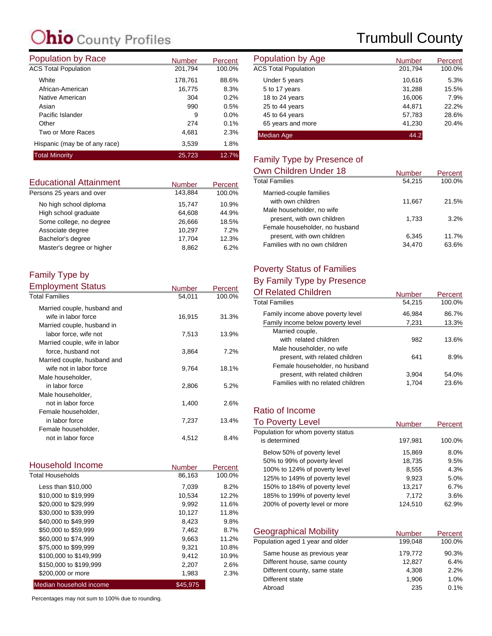| <b>Population by Race</b>     | <b>Number</b> | Percent | <b>Population by Age</b>    |
|-------------------------------|---------------|---------|-----------------------------|
| <b>ACS Total Population</b>   | 201,794       | 100.0%  | <b>ACS Total Population</b> |
| White                         | 178,761       | 88.6%   | Under 5 years               |
| African-American              | 16,775        | 8.3%    | 5 to 17 years               |
| Native American               | 304           | 0.2%    | 18 to 24 years              |
| Asian                         | 990           | 0.5%    | 25 to 44 years              |
| Pacific Islander              | 9             | $0.0\%$ | 45 to 64 years              |
| Other                         | 274           | 0.1%    | 65 years and more           |
| Two or More Races             | 4,681         | 2.3%    | <b>Median Age</b>           |
| Hispanic (may be of any race) | 3,539         | 1.8%    |                             |
| <b>Total Minority</b>         | 25.723        | 12.7%   | Eamily Type by Dr           |

| <b>Educational Attainment</b> | <b>Number</b> | Percent |
|-------------------------------|---------------|---------|
| Persons 25 years and over     | 143.884       | 100.0%  |
| No high school diploma        | 15.747        | 10.9%   |
| High school graduate          | 64.608        | 44.9%   |
| Some college, no degree       | 26,666        | 18.5%   |
| Associate degree              | 10,297        | 7.2%    |
| Bachelor's degree             | 17,704        | 12.3%   |
| Master's degree or higher     | 8.862         | 6.2%    |

#### Family Type by Employment Status

| Employment Status             | Number | Percent |
|-------------------------------|--------|---------|
| <b>Total Families</b>         | 54,011 | 100.0%  |
| Married couple, husband and   |        |         |
| wife in labor force           | 16,915 | 31.3%   |
| Married couple, husband in    |        |         |
| labor force, wife not         | 7,513  | 13.9%   |
| Married couple, wife in labor |        |         |
| force, husband not            | 3,864  | 7.2%    |
| Married couple, husband and   |        |         |
| wife not in labor force       | 9,764  | 18.1%   |
| Male householder,             |        |         |
| in labor force                | 2,806  | 5.2%    |
| Male householder,             |        |         |
| not in labor force            | 1,400  | 2.6%    |
| Female householder,           |        |         |
| in labor force                | 7,237  | 13.4%   |
| Female householder,           |        |         |
| not in labor force            | 4,512  | 8.4%    |

| Household Income        | <b>Number</b> | Percent |
|-------------------------|---------------|---------|
| <b>Total Households</b> | 86,163        | 100.0%  |
| Less than \$10,000      | 7,039         | 8.2%    |
| \$10,000 to \$19,999    | 10.534        | 12.2%   |
| \$20,000 to \$29,999    | 9.992         | 11.6%   |
| \$30,000 to \$39,999    | 10,127        | 11.8%   |
| \$40,000 to \$49.999    | 8,423         | 9.8%    |
| \$50,000 to \$59,999    | 7,462         | 8.7%    |
| \$60,000 to \$74,999    | 9.663         | 11.2%   |
| \$75,000 to \$99,999    | 9.321         | 10.8%   |
| \$100,000 to \$149,999  | 9,412         | 10.9%   |
| \$150,000 to \$199,999  | 2,207         | 2.6%    |
| \$200,000 or more       | 1,983         | 2.3%    |
| Median household income | \$45.975      |         |

Percentages may not sum to 100% due to rounding.

### Trumbull County

| <b>Number</b> | Percent | Population by Age           | <b>Number</b> | Percent |
|---------------|---------|-----------------------------|---------------|---------|
| 201,794       | 100.0%  | <b>ACS Total Population</b> | 201,794       | 100.0%  |
| 178,761       | 88.6%   | Under 5 years               | 10,616        | 5.3%    |
| 16.775        | 8.3%    | 5 to 17 years               | 31.288        | 15.5%   |
| 304           | 0.2%    | 18 to 24 years              | 16,006        | 7.9%    |
| 990           | 0.5%    | 25 to 44 years              | 44.871        | 22.2%   |
| 9             | $0.0\%$ | 45 to 64 years              | 57,783        | 28.6%   |
| 274           | 0.1%    | 65 years and more           | 41,230        | 20.4%   |
| 4,681         | 2.3%    | <b>Median Age</b>           | 44.2          |         |

### Family Type by Presence of

| Own Children Under 18          | <b>Number</b> | Percent |
|--------------------------------|---------------|---------|
| <b>Total Families</b>          | 54,215        | 100.0%  |
| Married-couple families        |               |         |
| with own children              | 11,667        | 21.5%   |
| Male householder, no wife      |               |         |
| present, with own children     | 1.733         | 3.2%    |
| Female householder, no husband |               |         |
| present, with own children     | 6.345         | 11.7%   |
| Families with no own children  | 34,470        | 63.6%   |

### Poverty Status of Families

| By Family Type by Presence        |               |         |
|-----------------------------------|---------------|---------|
| Of Related Children               | <b>Number</b> | Percent |
| <b>Total Families</b>             | 54.215        | 100.0%  |
| Family income above poverty level | 46,984        | 86.7%   |
| Family income below poverty level | 7,231         | 13.3%   |
| Married couple,                   |               |         |
| with related children             | 982           | 13.6%   |
| Male householder, no wife         |               |         |
| present, with related children    | 641           | 8.9%    |
| Female householder, no husband    |               |         |
| present, with related children    | 3.904         | 54.0%   |
| Families with no related children | 1.704         | 23.6%   |

### Ratio of Income

| <b>To Poverty Level</b>            | <b>Number</b> | <b>Percent</b> |
|------------------------------------|---------------|----------------|
| Population for whom poverty status |               |                |
| is determined                      | 197,981       | 100.0%         |
| Below 50% of poverty level         | 15,869        | $8.0\%$        |
| 50% to 99% of poverty level        | 18,735        | 9.5%           |
| 100% to 124% of poverty level      | 8,555         | 4.3%           |
| 125% to 149% of poverty level      | 9.923         | 5.0%           |
| 150% to 184% of poverty level      | 13,217        | 6.7%           |
| 185% to 199% of poverty level      | 7.172         | 3.6%           |
| 200% of poverty level or more      | 124.510       | 62.9%          |

| <b>Geographical Mobility</b>     | <b>Number</b> | Percent |
|----------------------------------|---------------|---------|
| Population aged 1 year and older | 199,048       | 100.0%  |
| Same house as previous year      | 179,772       | 90.3%   |
| Different house, same county     | 12,827        | 6.4%    |
| Different county, same state     | 4.308         | 2.2%    |
| Different state                  | 1.906         | 1.0%    |
| Abroad                           | 235           | 0.1%    |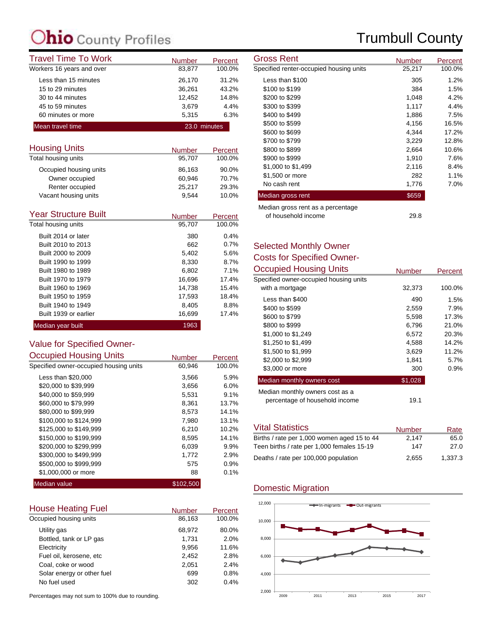| <b>Travel Time To Work</b> | <b>Number</b> | Percent | <b>Gross Rent</b>                       | Number                       |
|----------------------------|---------------|---------|-----------------------------------------|------------------------------|
| Workers 16 years and over  | 83,877        | 100.0%  | Specified renter-occupied housing units | 25,217                       |
| Less than 15 minutes       | 26.170        | 31.2%   | Less than \$100                         | 305                          |
| 15 to 29 minutes           | 36.261        | 43.2%   | \$100 to \$199                          | 384                          |
| 30 to 44 minutes           | 12,452        | 14.8%   | \$200 to \$299                          | 1,048                        |
| 45 to 59 minutes           | 3.679         | 4.4%    | \$300 to \$399                          | 1.117                        |
| 60 minutes or more         | 5.315         | 6.3%    | \$400 to \$499                          | 1,886                        |
| Mean travel time           | 23.0 minutes  |         | \$500 to \$599                          | 4,156                        |
|                            |               |         | $0.001 - 0.000$                         | $\Lambda$ $\Omega$ $\Lambda$ |

| <b>Housing Units</b>   | <b>Number</b> | Percent |
|------------------------|---------------|---------|
| Total housing units    | 95.707        | 100.0%  |
| Occupied housing units | 86,163        | 90.0%   |
| Owner occupied         | 60.946        | 70.7%   |
| Renter occupied        | 25.217        | 29.3%   |
| Vacant housing units   | 9.544         | 10.0%   |

| <b>Year Structure Built</b> | <b>Number</b> | Percent |
|-----------------------------|---------------|---------|
| Total housing units         | 95,707        | 100.0%  |
| Built 2014 or later         | 380           | 0.4%    |
| Built 2010 to 2013          | 662           | 0.7%    |
| Built 2000 to 2009          | 5,402         | 5.6%    |
| Built 1990 to 1999          | 8,330         | 8.7%    |
| Built 1980 to 1989          | 6.802         | 7.1%    |
| Built 1970 to 1979          | 16,696        | 17.4%   |
| Built 1960 to 1969          | 14.738        | 15.4%   |
| Built 1950 to 1959          | 17,593        | 18.4%   |
| Built 1940 to 1949          | 8,405         | 8.8%    |
| Built 1939 or earlier       | 16.699        | 17.4%   |
| Median year built           | 1963          |         |

### Value for Specified Owner-

| <b>Occupied Housing Units</b>          | <b>Number</b> | Percent |
|----------------------------------------|---------------|---------|
| Specified owner-occupied housing units | 60,946        | 100.0%  |
| Less than \$20,000                     | 3,566         | 5.9%    |
| \$20,000 to \$39,999                   | 3,656         | 6.0%    |
| \$40,000 to \$59.999                   | 5,531         | 9.1%    |
| \$60,000 to \$79,999                   | 8,361         | 13.7%   |
| \$80,000 to \$99,999                   | 8,573         | 14.1%   |
| \$100,000 to \$124.999                 | 7,980         | 13.1%   |
| \$125,000 to \$149,999                 | 6,210         | 10.2%   |
| \$150,000 to \$199,999                 | 8,595         | 14.1%   |
| \$200,000 to \$299,999                 | 6,039         | 9.9%    |
| \$300,000 to \$499,999                 | 1,772         | 2.9%    |
| \$500,000 to \$999,999                 | 575           | 0.9%    |
| \$1,000,000 or more                    | 88            | 0.1%    |
| <b>Median value</b>                    | \$102,500     |         |

| <b>House Heating Fuel</b>  | <b>Number</b> | Percent |
|----------------------------|---------------|---------|
| Occupied housing units     | 86,163        | 100.0%  |
| Utility gas                | 68,972        | 80.0%   |
| Bottled, tank or LP gas    | 1.731         | 2.0%    |
| Electricity                | 9,956         | 11.6%   |
| Fuel oil, kerosene, etc.   | 2,452         | 2.8%    |
| Coal, coke or wood         | 2,051         | 2.4%    |
| Solar energy or other fuel | 699           | 0.8%    |
| No fuel used               | 302           | 0.4%    |

Percentages may not sum to 100% due to rounding.

| <b>Gross Rent</b>                       | <b>Number</b> | Percent |
|-----------------------------------------|---------------|---------|
| Specified renter-occupied housing units | 25,217        | 100.0%  |
| Less than \$100                         | 305           | 1.2%    |
| \$100 to \$199                          | 384           | 1.5%    |
| \$200 to \$299                          | 1,048         | 4.2%    |
| \$300 to \$399                          | 1.117         | 4.4%    |
| \$400 to \$499                          | 1,886         | 7.5%    |
| \$500 to \$599                          | 4.156         | 16.5%   |

| \$300 to \$399                    | 1,117 | $4.4\%$ |
|-----------------------------------|-------|---------|
| \$400 to \$499                    | 1,886 | 7.5%    |
| \$500 to \$599                    | 4.156 | 16.5%   |
| \$600 to \$699                    | 4.344 | 17.2%   |
| \$700 to \$799                    | 3,229 | 12.8%   |
| \$800 to \$899                    | 2,664 | 10.6%   |
| \$900 to \$999                    | 1,910 | 7.6%    |
| \$1,000 to \$1,499                | 2,116 | 8.4%    |
| \$1,500 or more                   | 282   | 1.1%    |
| No cash rent                      | 1,776 | 7.0%    |
| Median gross rent                 | \$659 |         |
| Median gross rent as a percentage |       |         |

of household income

#### Selected Monthly Owner Costs for Specified Owner-Occupied Housing Units

| Occupied Housing Units                 | <b>Number</b> | Percent |
|----------------------------------------|---------------|---------|
| Specified owner-occupied housing units |               |         |
| with a mortgage                        | 32,373        | 100.0%  |
| Less than \$400                        | 490           | 1.5%    |
| \$400 to \$599                         | 2,559         | 7.9%    |
| \$600 to \$799                         | 5,598         | 17.3%   |
| \$800 to \$999                         | 6,796         | 21.0%   |
| \$1,000 to \$1,249                     | 6,572         | 20.3%   |
| \$1,250 to \$1,499                     | 4,588         | 14.2%   |
| \$1,500 to \$1,999                     | 3,629         | 11.2%   |
| \$2,000 to \$2,999                     | 1,841         | 5.7%    |
| \$3,000 or more                        | 300           | 0.9%    |
| Median monthly owners cost             | \$1,028       |         |
| Median monthly owners cost as a        |               |         |
| percentage of household income         | 19.1          |         |

| <b>Vital Statistics</b>                     | <b>Number</b> | Rate    |
|---------------------------------------------|---------------|---------|
| Births / rate per 1,000 women aged 15 to 44 | 2.147         | 65.0    |
| Teen births / rate per 1,000 females 15-19  | 147           | 27.0    |
| Deaths / rate per 100,000 population        | 2.655         | 1.337.3 |

#### Domestic Migration



### Trumbull County

29.8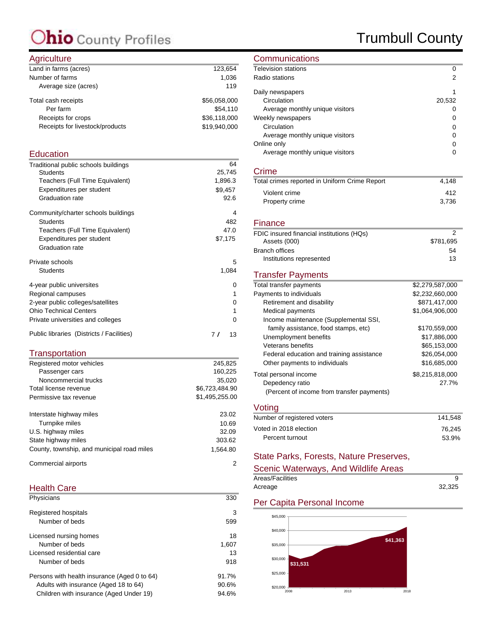### Trumbull County

#### **Agriculture**

| $1.9110$ and $0.1$              |              |
|---------------------------------|--------------|
| Land in farms (acres)           | 123,654      |
| Number of farms                 | 1,036        |
| Average size (acres)            | 119          |
| Total cash receipts             | \$56,058,000 |
| Per farm                        | \$54,110     |
| Receipts for crops              | \$36,118,000 |
| Receipts for livestock/products | \$19,940,000 |
|                                 |              |

#### **Education**

| Traditional public schools buildings      | 64       |
|-------------------------------------------|----------|
| <b>Students</b>                           | 25,745   |
| Teachers (Full Time Equivalent)           | 1,896.3  |
| Expenditures per student                  | \$9,457  |
| <b>Graduation rate</b>                    | 92.6     |
| Community/charter schools buildings       | 4        |
| <b>Students</b>                           | 482      |
| Teachers (Full Time Equivalent)           | 47.0     |
| Expenditures per student                  | \$7,175  |
| <b>Graduation rate</b>                    |          |
| Private schools                           | 5        |
| Students                                  | 1,084    |
| 4-year public universites                 | 0        |
| Regional campuses                         | 1        |
| 2-year public colleges/satellites         | 0        |
| <b>Ohio Technical Centers</b>             | 1        |
| Private universities and colleges         | $\Omega$ |
| Public libraries (Districts / Facilities) | 13<br>7/ |

### **Transportation**

| Registered motor vehicles                  | 245.825        |
|--------------------------------------------|----------------|
| Passenger cars                             | 160.225        |
| Noncommercial trucks                       | 35.020         |
| Total license revenue                      | \$6.723.484.90 |
| Permissive tax revenue                     | \$1,495,255.00 |
| Interstate highway miles                   | 23.02          |
| Turnpike miles                             | 10.69          |
| U.S. highway miles                         | 32.09          |
| State highway miles                        | 303.62         |
| County, township, and municipal road miles | 1,564.80       |
| Commercial airports                        | 2              |

#### Health Care

| Physicians                                   | 330   |
|----------------------------------------------|-------|
| Registered hospitals                         | 3     |
| Number of beds                               | 599   |
| Licensed nursing homes                       | 18    |
| Number of beds                               | 1,607 |
| Licensed residential care                    | 13    |
| Number of beds                               | 918   |
| Persons with health insurance (Aged 0 to 64) | 91.7% |
| Adults with insurance (Aged 18 to 64)        | 90.6% |
| Children with insurance (Aged Under 19)      | 94.6% |

### Communications

| <b>COMMUNICATIONS</b>                         |                 |
|-----------------------------------------------|-----------------|
| <b>Television stations</b>                    | 0               |
| Radio stations                                | 2               |
| Daily newspapers                              | 1               |
| Circulation                                   | 20,532          |
| Average monthly unique visitors               | 0               |
| Weekly newspapers                             | 0               |
| Circulation                                   | 0               |
| Average monthly unique visitors               | 0               |
| Online only                                   | 0               |
| Average monthly unique visitors               | 0               |
| <b>Crime</b>                                  |                 |
| Total crimes reported in Uniform Crime Report | 4,148           |
| Violent crime                                 | 412             |
| Property crime                                | 3,736           |
|                                               |                 |
| Finance                                       |                 |
| FDIC insured financial institutions (HQs)     | 2               |
| Assets (000)                                  | \$781,695       |
| <b>Branch offices</b>                         | 54              |
| Institutions represented                      | 13              |
| <b>Transfer Payments</b>                      |                 |
| <b>Total transfer payments</b>                | \$2,279,587,000 |
| Payments to individuals                       | \$2,232,660,000 |
| Retirement and disability                     | \$871,417,000   |
| Medical payments                              | \$1,064,906,000 |
| Income maintenance (Supplemental SSI,         |                 |
| family assistance, food stamps, etc)          | \$170,559,000   |
| Unemployment benefits                         | \$17,886,000    |
| <b>Veterans benefits</b>                      | \$65,153,000    |
| Federal education and training assistance     | \$26,054,000    |
| Other payments to individuals                 | \$16,685,000    |
| Total personal income                         | \$8,215,818,000 |
| Depedency ratio                               | 27.7%           |
| (Percent of income from transfer payments)    |                 |
| Voting                                        |                 |
| Number of registered voters                   | 141,548         |
|                                               |                 |

| Number of registered voters | 141.548 |
|-----------------------------|---------|
| Voted in 2018 election      | 76.245  |
| Percent turnout             | 53.9%   |

### State Parks, Forests, Nature Preserves,

| Scenic Waterways, And Wildlife Areas |        |
|--------------------------------------|--------|
| Areas/Facilities                     |        |
| Acreage                              | 32.325 |

#### Per Capita Personal Income